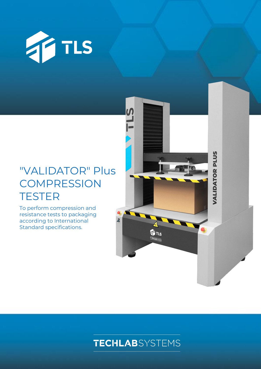

# "VALIDATOR" Plus **COMPRESSION TESTER**

To perform compression and resistance tests to packaging according to International Standard specifications.



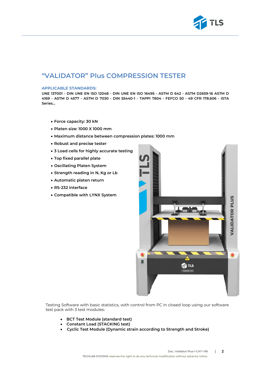

# **"VALIDATOR" Plus COMPRESSION TESTER**

#### **APPLICABLE STANDARDS:**

**UNE 137001 - DIN UNE EN ISO 12048 - DIN UNE EN ISO 16495 - ASTM D 642 - ASTM D2659-16 ASTM D 4169 - ASTM D 4577 - ASTM D 7030 - DIN 55440-1 - TAPPI T804 - FEFCO 50 - 49 CFR 178.606 - ISTA Series…**

- **Force capacity: 30 kN**
- **Platen size: 1000 X 1000 mm**
- **Maximum distance between compression plates: 1000 mm**
- **Robust and precise tester**
- **3 Load cells for highly accurate testing**
- **Top fixed parallel plate**
- **Oscillating Platen System**
- **Strength reading in N, Kg or Lb**
- **Automatic platen return**
- **RS-232 interface**
- **Compatible with LYNX System**



Testing Software with basic statistics, with control from PC in closed loop using our software test pack with 3 test modules:

- **BCT Test Module (standard test)**
- **Constant Load (STACKING test)**
- • **Cyclic Test Module (Dynamic strain according to Strength and Stroke)**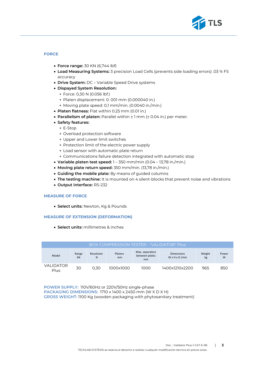

## **FORCE**:

- **Force range:** 30 KN (6,744 lbf)
- **Load Measuring Systems:** 3 precision Load Cells (prevents side loading errors) .03 % FS accuracy
- **Drive System:** DC Variable Speed Drive systems
- **Dispayed System Resolution:**
	- Force: 0,30 N (0.056 lbf.)
	- Platen displacement: 0. 001 mm (0.000040 in.)
	- Moving plate speed: 0,1 mm/min. (0.0040 in./min.)
- **Platen flatness:** Flat within 0.25 mm (0.01 in.)
- **Parallelism of platen:** Parallel within ± 1 mm (± 0.04 in.) per meter.
- **Safety features:**
	- E-Stop
	- Overload protection software
	- Upper and Lower limit switches
	- Protection limit of the electric power supply
	- Load sensor with automatic plate return
	- Communications failure detection integrated with automatic stop
- **Variable platen test speed:** 1 350 mm/min (0.04 13,78 in./min.)
- **Moving plate return speed:** 350 mm/min. (13,78 in./min.)
- **Guiding the mobile plate:** By means of guided columns
- **The testing machine:** It is mounted on 4 silent-blocks that prevent noise and vibrations
- **Output interface:** RS-232

#### **MEASURE OF FORCE**

• **Select units:** Newton, Kg & Pounds

#### **MEASURE OF EXTENSION (DEFORMATION)**

• **Select units:** millimetres & inches

| BOX COMPRESSION TESTER - "VALIDATOR" Plus |             |                |               |                                         |                                                |              |            |
|-------------------------------------------|-------------|----------------|---------------|-----------------------------------------|------------------------------------------------|--------------|------------|
| Model                                     | Range<br>kN | Resoluton<br>N | Platens<br>mm | Max. separation<br>between plates<br>mm | <b>Dimensions</b><br>$W \times H \times D$ /mm | Weight<br>kg | Power<br>W |
| VALIDATOR<br>Plus                         | 30          | 0.30           | 1000x1000     | 1000                                    | 1400x1210x2200                                 | 965          | 850        |

**POWER SUPPLY:** 110V/60Hz or 220V/50Hz single-phase **PACKAGING DIMENSIONS:** 1710 x 1400 x 2450 mm (W X D X H) **GROSS WEIGHT:** 1100 Kg (wooden packaging with phytosanitary treatment)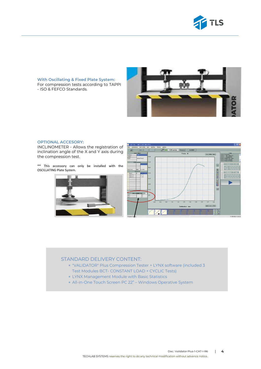

**With Oscillating & Fixed Plate System:** For compression tests according to TAPPI - ISO & FEFCO Standards.



### **OPTIONAL ACCESORY:**

INCLINOMETER - Allows the registration of inclination angle of the X and Y axis during the compression test.

\*\* This accessory can only be installed with the OSCILLATING Plate System.





### STANDARD DELIVERY CONTENT:

- "VALIDATOR" Plus Compression Tester + LYNX software (included 3 Test Modules BCT- CONSTANT LOAD + CYCLIC Tests)
- LYNX Management Module with Basic Statistics
- All-in-One Touch Screen PC 22" Windows Operative System